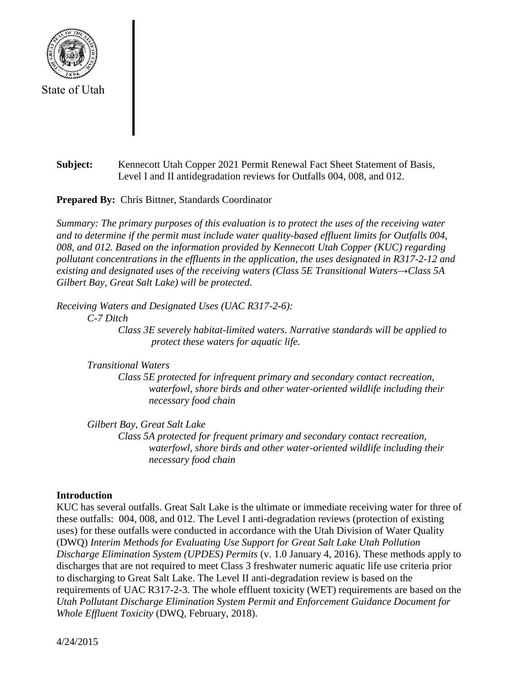

# **Subject:** Kennecott Utah Copper 2021 Permit Renewal Fact Sheet Statement of Basis, Level I and II antidegradation reviews for Outfalls 004, 008, and 012.

**Prepared By:** Chris Bittner, Standards Coordinator

*Summary: The primary purposes of this evaluation is to protect the uses of the receiving water and to determine if the permit must include water quality-based effluent limits for Outfalls 004, 008, and 012. Based on the information provided by Kennecott Utah Copper (KUC) regarding pollutant concentrations in the effluents in the application, the uses designated in R317-2-12 and existing and designated uses of the receiving waters (Class 5E Transitional Waters→Class 5A Gilbert Bay, Great Salt Lake) will be protected.*

*Receiving Waters and Designated Uses (UAC R317-2-6):*

*C-7 Ditch*

*Class 3E severely habitat-limited waters. Narrative standards will be applied to protect these waters for aquatic life.*

*Transitional Waters*

*Class 5E protected for infrequent primary and secondary contact recreation, waterfowl, shore birds and other water-oriented wildlife including their necessary food chain*

*Gilbert Bay, Great Salt Lake Class 5A protected for frequent primary and secondary contact recreation, waterfowl, shore birds and other water-oriented wildlife including their necessary food chain*

# **Introduction**

KUC has several outfalls. Great Salt Lake is the ultimate or immediate receiving water for three of these outfalls: 004, 008, and 012. The Level I anti-degradation reviews (protection of existing uses) for these outfalls were conducted in accordance with the Utah Division of Water Quality (DWQ) *Interim Methods for Evaluating Use Support for Great Salt Lake Utah Pollution Discharge Elimination System (UPDES) Permits* (v. 1.0 January 4, 2016). These methods apply to discharges that are not required to meet Class 3 freshwater numeric aquatic life use criteria prior to discharging to Great Salt Lake. The Level II anti-degradation review is based on the requirements of UAC R317-2-3. The whole effluent toxicity (WET) requirements are based on the *Utah Pollutant Discharge Elimination System Permit and Enforcement Guidance Document for Whole Effluent Toxicity* (DWQ, February, 2018).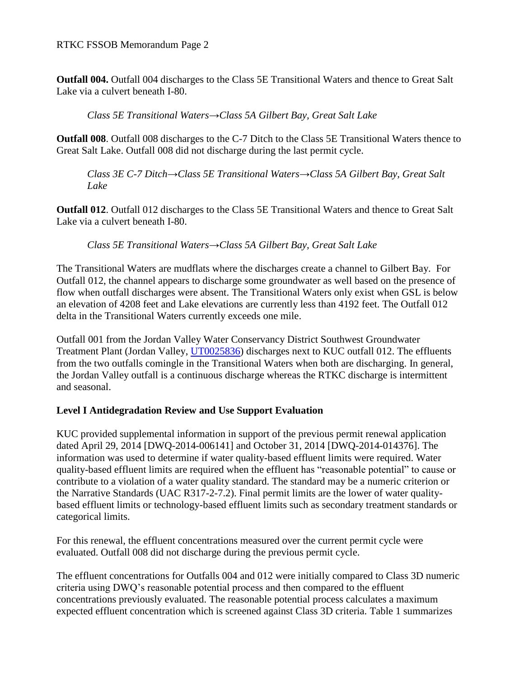**Outfall 004.** Outfall 004 discharges to the Class 5E Transitional Waters and thence to Great Salt Lake via a culvert beneath I-80.

*Class 5E Transitional Waters→Class 5A Gilbert Bay, Great Salt Lake*

**Outfall 008**. Outfall 008 discharges to the C-7 Ditch to the Class 5E Transitional Waters thence to Great Salt Lake. Outfall 008 did not discharge during the last permit cycle.

*Class 3E C-7 Ditch→Class 5E Transitional Waters→Class 5A Gilbert Bay, Great Salt Lake*

**Outfall 012**. Outfall 012 discharges to the Class 5E Transitional Waters and thence to Great Salt Lake via a culvert beneath I-80.

## *Class 5E Transitional Waters→Class 5A Gilbert Bay, Great Salt Lake*

The Transitional Waters are mudflats where the discharges create a channel to Gilbert Bay. For Outfall 012, the channel appears to discharge some groundwater as well based on the presence of flow when outfall discharges were absent. The Transitional Waters only exist when GSL is below an elevation of 4208 feet and Lake elevations are currently less than 4192 feet. The Outfall 012 delta in the Transitional Waters currently exceeds one mile.

Outfall 001 from the Jordan Valley Water Conservancy District Southwest Groundwater Treatment Plant (Jordan Valley, [UT0025836\)](https://documents.deq.utah.gov/water-quality/permits/updes/DWQ-2020-014093.pdf) discharges next to KUC outfall 012. The effluents from the two outfalls comingle in the Transitional Waters when both are discharging. In general, the Jordan Valley outfall is a continuous discharge whereas the RTKC discharge is intermittent and seasonal.

## **Level I Antidegradation Review and Use Support Evaluation**

KUC provided supplemental information in support of the previous permit renewal application dated April 29, 2014 [DWQ-2014-006141] and October 31, 2014 [DWQ-2014-014376]. The information was used to determine if water quality-based effluent limits were required. Water quality-based effluent limits are required when the effluent has "reasonable potential" to cause or contribute to a violation of a water quality standard. The standard may be a numeric criterion or the Narrative Standards (UAC R317-2-7.2). Final permit limits are the lower of water qualitybased effluent limits or technology-based effluent limits such as secondary treatment standards or categorical limits.

For this renewal, the effluent concentrations measured over the current permit cycle were evaluated. Outfall 008 did not discharge during the previous permit cycle.

The effluent concentrations for Outfalls 004 and 012 were initially compared to Class 3D numeric criteria using DWQ's reasonable potential process and then compared to the effluent concentrations previously evaluated. The reasonable potential process calculates a maximum expected effluent concentration which is screened against Class 3D criteria. Table 1 summarizes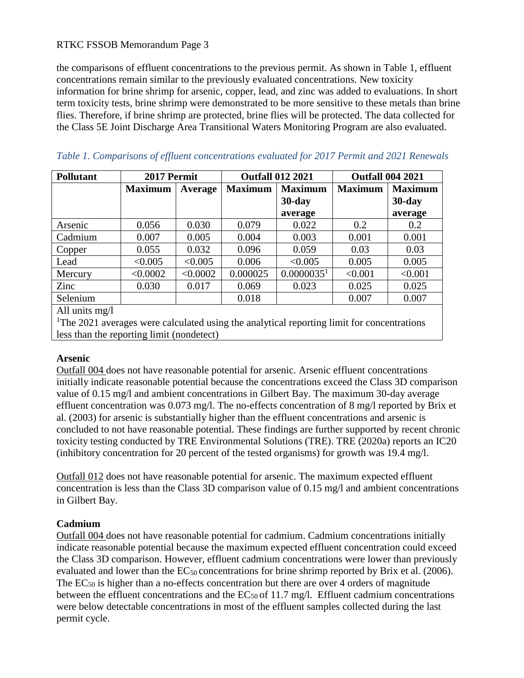the comparisons of effluent concentrations to the previous permit. As shown in Table 1, effluent concentrations remain similar to the previously evaluated concentrations. New toxicity information for brine shrimp for arsenic, copper, lead, and zinc was added to evaluations. In short term toxicity tests, brine shrimp were demonstrated to be more sensitive to these metals than brine flies. Therefore, if brine shrimp are protected, brine flies will be protected. The data collected for the Class 5E Joint Discharge Area Transitional Waters Monitoring Program are also evaluated.

| <b>Pollutant</b> | 2017 Permit    |          |                | <b>Outfall 012 2021</b> | <b>Outfall 004 2021</b> |                |
|------------------|----------------|----------|----------------|-------------------------|-------------------------|----------------|
|                  | <b>Maximum</b> | Average  | <b>Maximum</b> | <b>Maximum</b>          | <b>Maximum</b>          | <b>Maximum</b> |
|                  |                |          |                | $30$ -day               |                         | $30$ -day      |
|                  |                |          |                | average                 |                         | average        |
| Arsenic          | 0.056          | 0.030    | 0.079          | 0.022                   | 0.2                     | 0.2            |
| Cadmium          | 0.007          | 0.005    | 0.004          | 0.003                   | 0.001                   | 0.001          |
| Copper           | 0.055          | 0.032    | 0.096          | 0.059                   | 0.03                    | 0.03           |
| Lead             | < 0.005        | < 0.005  | 0.006          | < 0.005                 | 0.005                   | 0.005          |
| Mercury          | < 0.0002       | < 0.0002 | 0.000025       | 0.0000035 <sup>1</sup>  | < 0.001                 | < 0.001        |
| Zinc             | 0.030          | 0.017    | 0.069          | 0.023                   | 0.025                   | 0.025          |
| Selenium         |                |          | 0.018          |                         | 0.007                   | 0.007          |
| All units mg/l   |                |          |                |                         |                         |                |

|  |  |  | Table 1. Comparisons of effluent concentrations evaluated for 2017 Permit and 2021 Renewals |  |  |  |  |
|--|--|--|---------------------------------------------------------------------------------------------|--|--|--|--|
|--|--|--|---------------------------------------------------------------------------------------------|--|--|--|--|

<sup>1</sup>The 2021 averages were calculated using the analytical reporting limit for concentrations less than the reporting limit (nondetect)

## **Arsenic**

Outfall 004 does not have reasonable potential for arsenic. Arsenic effluent concentrations initially indicate reasonable potential because the concentrations exceed the Class 3D comparison value of 0.15 mg/l and ambient concentrations in Gilbert Bay. The maximum 30-day average effluent concentration was 0.073 mg/l. The no-effects concentration of 8 mg/l reported by Brix et al. (2003) for arsenic is substantially higher than the effluent concentrations and arsenic is concluded to not have reasonable potential. These findings are further supported by recent chronic toxicity testing conducted by TRE Environmental Solutions (TRE). TRE (2020a) reports an IC20 (inhibitory concentration for 20 percent of the tested organisms) for growth was 19.4 mg/l.

Outfall 012 does not have reasonable potential for arsenic. The maximum expected effluent concentration is less than the Class 3D comparison value of 0.15 mg/l and ambient concentrations in Gilbert Bay.

# **Cadmium**

Outfall 004 does not have reasonable potential for cadmium. Cadmium concentrations initially indicate reasonable potential because the maximum expected effluent concentration could exceed the Class 3D comparison. However, effluent cadmium concentrations were lower than previously evaluated and lower than the  $EC_{50}$  concentrations for brine shrimp reported by Brix et al. (2006). The  $EC_{50}$  is higher than a no-effects concentration but there are over 4 orders of magnitude between the effluent concentrations and the  $EC_{50}$  of 11.7 mg/l. Effluent cadmium concentrations were below detectable concentrations in most of the effluent samples collected during the last permit cycle.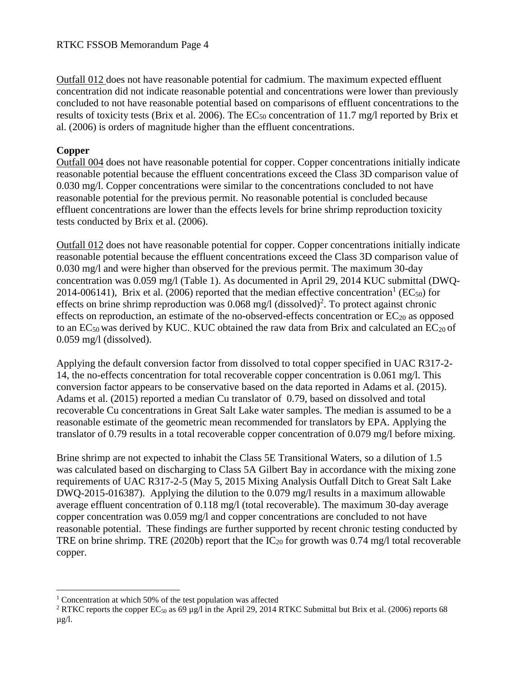Outfall 012 does not have reasonable potential for cadmium. The maximum expected effluent concentration did not indicate reasonable potential and concentrations were lower than previously concluded to not have reasonable potential based on comparisons of effluent concentrations to the results of toxicity tests (Brix et al. 2006). The  $EC_{50}$  concentration of 11.7 mg/l reported by Brix et al. (2006) is orders of magnitude higher than the effluent concentrations.

## **Copper**

 $\overline{a}$ 

Outfall 004 does not have reasonable potential for copper. Copper concentrations initially indicate reasonable potential because the effluent concentrations exceed the Class 3D comparison value of 0.030 mg/l. Copper concentrations were similar to the concentrations concluded to not have reasonable potential for the previous permit. No reasonable potential is concluded because effluent concentrations are lower than the effects levels for brine shrimp reproduction toxicity tests conducted by Brix et al. (2006).

Outfall 012 does not have reasonable potential for copper. Copper concentrations initially indicate reasonable potential because the effluent concentrations exceed the Class 3D comparison value of 0.030 mg/l and were higher than observed for the previous permit. The maximum 30-day concentration was 0.059 mg/l (Table 1). As documented in April 29, 2014 KUC submittal (DWQ-2014-006141), Brix et al. (2006) reported that the median effective concentration<sup>1</sup> (EC<sub>50</sub>) for effects on brine shrimp reproduction was  $0.068$  mg/l (dissolved)<sup>2</sup>. To protect against chronic effects on reproduction, an estimate of the no-observed-effects concentration or  $EC_{20}$  as opposed to an  $EC_{50}$  was derived by KUC. KUC obtained the raw data from Brix and calculated an  $EC_{20}$  of 0.059 mg/l (dissolved).

Applying the default conversion factor from dissolved to total copper specified in UAC R317-2- 14, the no-effects concentration for total recoverable copper concentration is 0.061 mg/l. This conversion factor appears to be conservative based on the data reported in Adams et al. (2015). Adams et al. (2015) reported a median Cu translator of 0.79, based on dissolved and total recoverable Cu concentrations in Great Salt Lake water samples. The median is assumed to be a reasonable estimate of the geometric mean recommended for translators by EPA. Applying the translator of 0.79 results in a total recoverable copper concentration of 0.079 mg/l before mixing.

Brine shrimp are not expected to inhabit the Class 5E Transitional Waters, so a dilution of 1.5 was calculated based on discharging to Class 5A Gilbert Bay in accordance with the mixing zone requirements of UAC R317-2-5 (May 5, 2015 Mixing Analysis Outfall Ditch to Great Salt Lake DWQ-2015-016387). Applying the dilution to the 0.079 mg/l results in a maximum allowable average effluent concentration of 0.118 mg/l (total recoverable). The maximum 30-day average copper concentration was 0.059 mg/l and copper concentrations are concluded to not have reasonable potential. These findings are further supported by recent chronic testing conducted by TRE on brine shrimp. TRE (2020b) report that the  $IC_{20}$  for growth was 0.74 mg/l total recoverable copper.

 $1$  Concentration at which 50% of the test population was affected

<sup>&</sup>lt;sup>2</sup> RTKC reports the copper EC<sub>50</sub> as 69 µg/l in the April 29, 2014 RTKC Submittal but Brix et al. (2006) reports 68  $\mu$ g/l.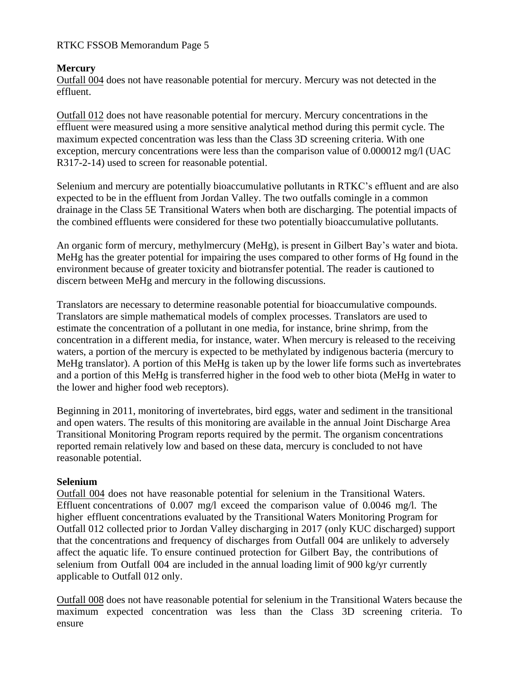# **Mercury**

Outfall 004 does not have reasonable potential for mercury. Mercury was not detected in the effluent.

Outfall 012 does not have reasonable potential for mercury. Mercury concentrations in the effluent were measured using a more sensitive analytical method during this permit cycle. The maximum expected concentration was less than the Class 3D screening criteria. With one exception, mercury concentrations were less than the comparison value of 0.000012 mg/l (UAC R317-2-14) used to screen for reasonable potential.

Selenium and mercury are potentially bioaccumulative pollutants in RTKC's effluent and are also expected to be in the effluent from Jordan Valley. The two outfalls comingle in a common drainage in the Class 5E Transitional Waters when both are discharging. The potential impacts of the combined effluents were considered for these two potentially bioaccumulative pollutants.

An organic form of mercury, methylmercury (MeHg), is present in Gilbert Bay's water and biota. MeHg has the greater potential for impairing the uses compared to other forms of Hg found in the environment because of greater toxicity and biotransfer potential. The reader is cautioned to discern between MeHg and mercury in the following discussions.

Translators are necessary to determine reasonable potential for bioaccumulative compounds. Translators are simple mathematical models of complex processes. Translators are used to estimate the concentration of a pollutant in one media, for instance, brine shrimp, from the concentration in a different media, for instance, water. When mercury is released to the receiving waters, a portion of the mercury is expected to be methylated by indigenous bacteria (mercury to MeHg translator). A portion of this MeHg is taken up by the lower life forms such as invertebrates and a portion of this MeHg is transferred higher in the food web to other biota (MeHg in water to the lower and higher food web receptors).

Beginning in 2011, monitoring of invertebrates, bird eggs, water and sediment in the transitional and open waters. The results of this monitoring are available in the annual Joint Discharge Area Transitional Monitoring Program reports required by the permit. The organism concentrations reported remain relatively low and based on these data, mercury is concluded to not have reasonable potential.

## **Selenium**

Outfall 004 does not have reasonable potential for selenium in the Transitional Waters. Effluent concentrations of 0.007 mg/l exceed the comparison value of 0.0046 mg/l. The higher effluent concentrations evaluated by the Transitional Waters Monitoring Program for Outfall 012 collected prior to Jordan Valley discharging in 2017 (only KUC discharged) support that the concentrations and frequency of discharges from Outfall 004 are unlikely to adversely affect the aquatic life. To ensure continued protection for Gilbert Bay, the contributions of selenium from Outfall 004 are included in the annual loading limit of 900 kg/yr currently applicable to Outfall 012 only.

Outfall 008 does not have reasonable potential for selenium in the Transitional Waters because the maximum expected concentration was less than the Class 3D screening criteria. To ensure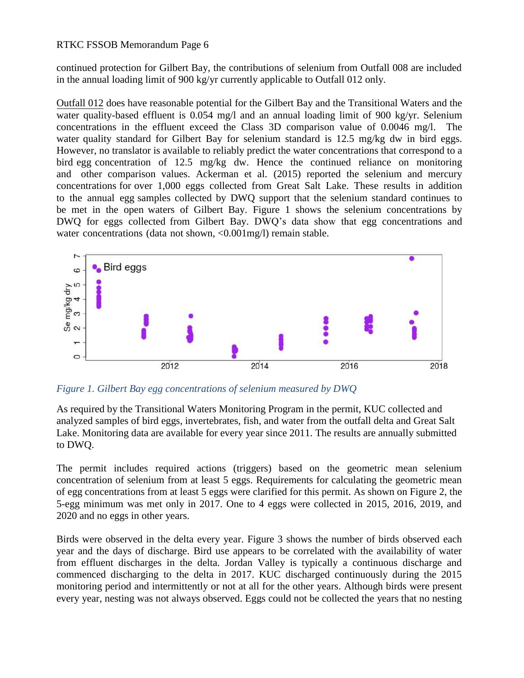continued protection for Gilbert Bay, the contributions of selenium from Outfall 008 are included in the annual loading limit of 900 kg/yr currently applicable to Outfall 012 only.

Outfall 012 does have reasonable potential for the Gilbert Bay and the Transitional Waters and the water quality-based effluent is 0.054 mg/l and an annual loading limit of 900 kg/yr. Selenium concentrations in the effluent exceed the Class 3D comparison value of 0.0046 mg/l. The water quality standard for Gilbert Bay for selenium standard is 12.5 mg/kg dw in bird eggs. However, no translator is available to reliably predict the water concentrations that correspond to a bird egg concentration of 12.5 mg/kg dw. Hence the continued reliance on monitoring and other comparison values. Ackerman et al. (2015) reported the selenium and mercury concentrations for over 1,000 eggs collected from Great Salt Lake. These results in addition to the annual egg samples collected by DWQ support that the selenium standard continues to be met in the open waters of Gilbert Bay. Figure 1 shows the selenium concentrations by DWQ for eggs collected from Gilbert Bay. DWQ's data show that egg concentrations and water concentrations (data not shown, <0.001mg/l) remain stable.



*Figure 1. Gilbert Bay egg concentrations of selenium measured by DWQ*

As required by the Transitional Waters Monitoring Program in the permit, KUC collected and analyzed samples of bird eggs, invertebrates, fish, and water from the outfall delta and Great Salt Lake. Monitoring data are available for every year since 2011. The results are annually submitted to DWQ.

The permit includes required actions (triggers) based on the geometric mean selenium concentration of selenium from at least 5 eggs. Requirements for calculating the geometric mean of egg concentrations from at least 5 eggs were clarified for this permit. As shown on Figure 2, the 5-egg minimum was met only in 2017. One to 4 eggs were collected in 2015, 2016, 2019, and 2020 and no eggs in other years.

Birds were observed in the delta every year. Figure 3 shows the number of birds observed each year and the days of discharge. Bird use appears to be correlated with the availability of water from effluent discharges in the delta. Jordan Valley is typically a continuous discharge and commenced discharging to the delta in 2017. KUC discharged continuously during the 2015 monitoring period and intermittently or not at all for the other years. Although birds were present every year, nesting was not always observed. Eggs could not be collected the years that no nesting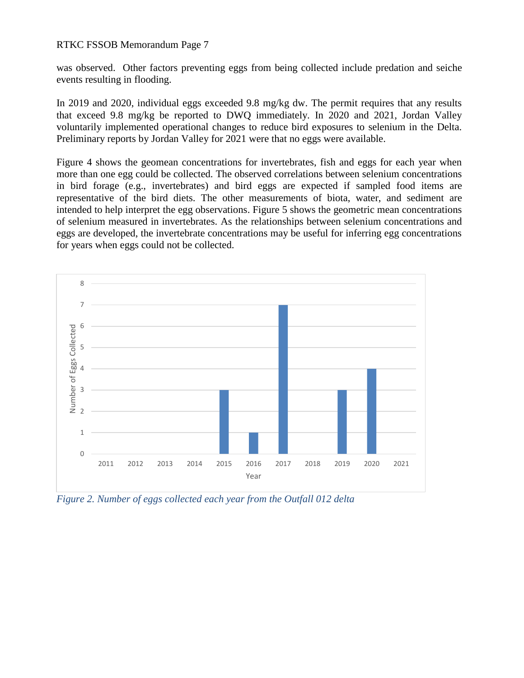was observed. Other factors preventing eggs from being collected include predation and seiche events resulting in flooding.

In 2019 and 2020, individual eggs exceeded 9.8 mg/kg dw. The permit requires that any results that exceed 9.8 mg/kg be reported to DWQ immediately. In 2020 and 2021, Jordan Valley voluntarily implemented operational changes to reduce bird exposures to selenium in the Delta. Preliminary reports by Jordan Valley for 2021 were that no eggs were available.

Figure 4 shows the geomean concentrations for invertebrates, fish and eggs for each year when more than one egg could be collected. The observed correlations between selenium concentrations in bird forage (e.g., invertebrates) and bird eggs are expected if sampled food items are representative of the bird diets. The other measurements of biota, water, and sediment are intended to help interpret the egg observations. Figure 5 shows the geometric mean concentrations of selenium measured in invertebrates. As the relationships between selenium concentrations and eggs are developed, the invertebrate concentrations may be useful for inferring egg concentrations for years when eggs could not be collected.



*Figure 2. Number of eggs collected each year from the Outfall 012 delta*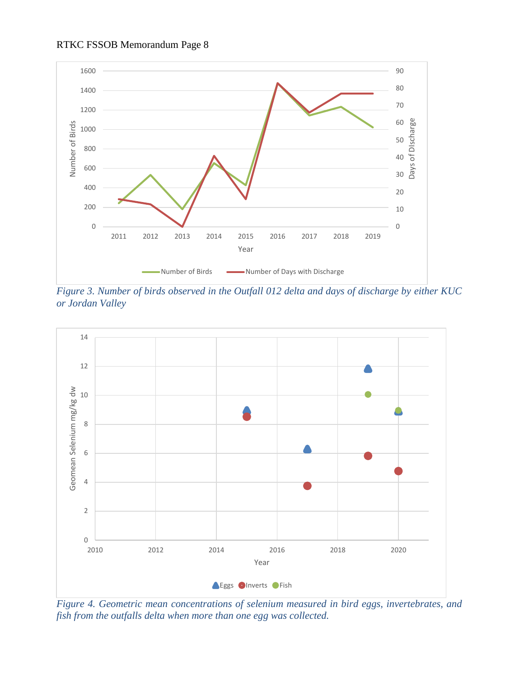



*Figure 3. Number of birds observed in the Outfall 012 delta and days of discharge by either KUC or Jordan Valley*



*Figure 4. Geometric mean concentrations of selenium measured in bird eggs, invertebrates, and fish from the outfalls delta when more than one egg was collected.*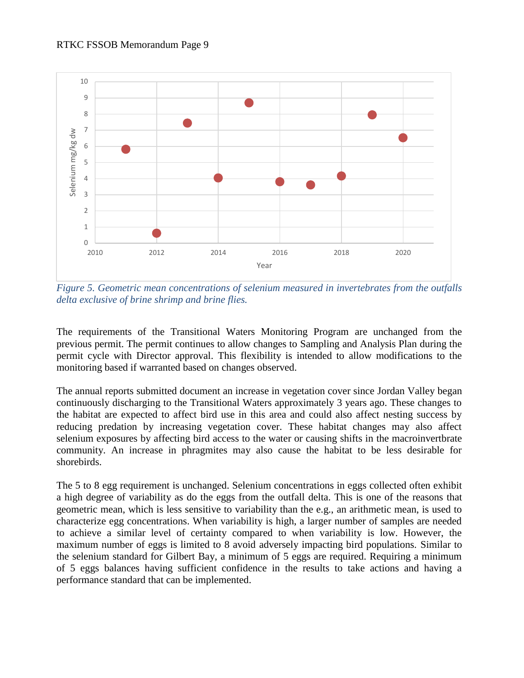

*Figure 5. Geometric mean concentrations of selenium measured in invertebrates from the outfalls delta exclusive of brine shrimp and brine flies.*

The requirements of the Transitional Waters Monitoring Program are unchanged from the previous permit. The permit continues to allow changes to Sampling and Analysis Plan during the permit cycle with Director approval. This flexibility is intended to allow modifications to the monitoring based if warranted based on changes observed.

The annual reports submitted document an increase in vegetation cover since Jordan Valley began continuously discharging to the Transitional Waters approximately 3 years ago. These changes to the habitat are expected to affect bird use in this area and could also affect nesting success by reducing predation by increasing vegetation cover. These habitat changes may also affect selenium exposures by affecting bird access to the water or causing shifts in the macroinvertbrate community. An increase in phragmites may also cause the habitat to be less desirable for shorebirds.

The 5 to 8 egg requirement is unchanged. Selenium concentrations in eggs collected often exhibit a high degree of variability as do the eggs from the outfall delta. This is one of the reasons that geometric mean, which is less sensitive to variability than the e.g., an arithmetic mean, is used to characterize egg concentrations. When variability is high, a larger number of samples are needed to achieve a similar level of certainty compared to when variability is low. However, the maximum number of eggs is limited to 8 avoid adversely impacting bird populations. Similar to the selenium standard for Gilbert Bay, a minimum of 5 eggs are required. Requiring a minimum of 5 eggs balances having sufficient confidence in the results to take actions and having a performance standard that can be implemented.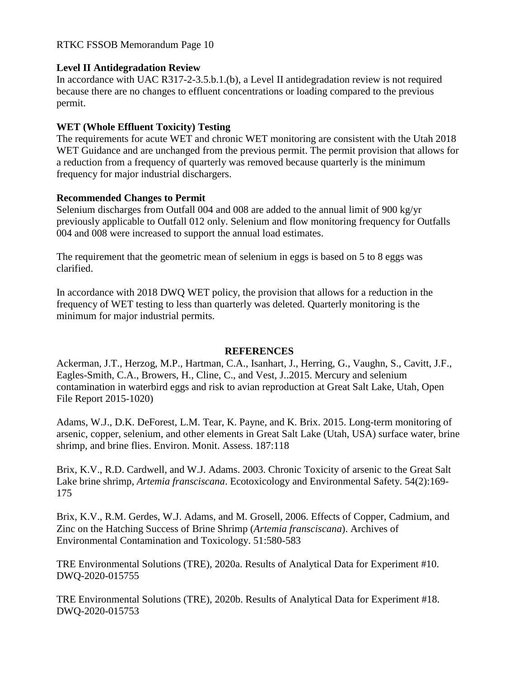## **Level II Antidegradation Review**

In accordance with UAC R317-2-3.5.b.1.(b), a Level II antidegradation review is not required because there are no changes to effluent concentrations or loading compared to the previous permit.

## **WET (Whole Effluent Toxicity) Testing**

The requirements for acute WET and chronic WET monitoring are consistent with the Utah 2018 WET Guidance and are unchanged from the previous permit. The permit provision that allows for a reduction from a frequency of quarterly was removed because quarterly is the minimum frequency for major industrial dischargers.

### **Recommended Changes to Permit**

Selenium discharges from Outfall 004 and 008 are added to the annual limit of 900 kg/yr previously applicable to Outfall 012 only. Selenium and flow monitoring frequency for Outfalls 004 and 008 were increased to support the annual load estimates.

The requirement that the geometric mean of selenium in eggs is based on 5 to 8 eggs was clarified.

In accordance with 2018 DWQ WET policy, the provision that allows for a reduction in the frequency of WET testing to less than quarterly was deleted. Quarterly monitoring is the minimum for major industrial permits.

### **REFERENCES**

Ackerman, J.T., Herzog, M.P., Hartman, C.A., Isanhart, J., Herring, G., Vaughn, S., Cavitt, J.F., Eagles-Smith, C.A., Browers, H., Cline, C., and Vest, J..2015. Mercury and selenium contamination in waterbird eggs and risk to avian reproduction at Great Salt Lake, Utah, Open File Report 2015-1020)

Adams, W.J., D.K. DeForest, L.M. Tear, K. Payne, and K. Brix. 2015. Long-term monitoring of arsenic, copper, selenium, and other elements in Great Salt Lake (Utah, USA) surface water, brine shrimp, and brine flies. Environ. Monit. Assess. 187:118

Brix, K.V., R.D. Cardwell, and W.J. Adams. 2003. Chronic Toxicity of arsenic to the Great Salt Lake brine shrimp, *Artemia fransciscana*. Ecotoxicology and Environmental Safety. 54(2):169- 175

Brix, K.V., R.M. Gerdes, W.J. Adams, and M. Grosell, 2006. Effects of Copper, Cadmium, and Zinc on the Hatching Success of Brine Shrimp (*Artemia fransciscana*). Archives of Environmental Contamination and Toxicology. 51:580-583

TRE Environmental Solutions (TRE), 2020a. Results of Analytical Data for Experiment #10. DWQ-2020-015755

TRE Environmental Solutions (TRE), 2020b. Results of Analytical Data for Experiment #18. DWQ-2020-015753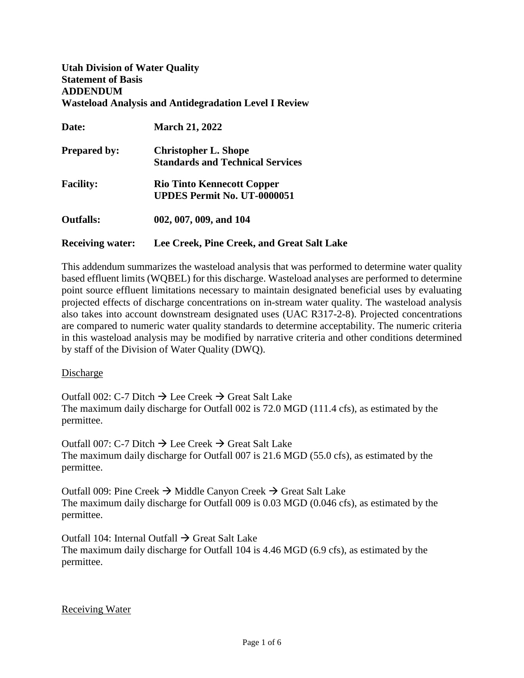**Utah Division of Water Quality Statement of Basis ADDENDUM Wasteload Analysis and Antidegradation Level I Review**

| Date:                   | <b>March 21, 2022</b>                      |
|-------------------------|--------------------------------------------|
| <b>Prepared by:</b>     | <b>Christopher L. Shope</b>                |
|                         | <b>Standards and Technical Services</b>    |
| <b>Facility:</b>        | <b>Rio Tinto Kennecott Copper</b>          |
|                         | <b>UPDES Permit No. UT-0000051</b>         |
| <b>Outfalls:</b>        | 002, 007, 009, and 104                     |
| <b>Receiving water:</b> | Lee Creek, Pine Creek, and Great Salt Lake |

This addendum summarizes the wasteload analysis that was performed to determine water quality based effluent limits (WQBEL) for this discharge. Wasteload analyses are performed to determine point source effluent limitations necessary to maintain designated beneficial uses by evaluating projected effects of discharge concentrations on in-stream water quality. The wasteload analysis also takes into account downstream designated uses (UAC R317-2-8). Projected concentrations are compared to numeric water quality standards to determine acceptability. The numeric criteria in this wasteload analysis may be modified by narrative criteria and other conditions determined by staff of the Division of Water Quality (DWQ).

Discharge

Outfall 002: C-7 Ditch  $\rightarrow$  Lee Creek  $\rightarrow$  Great Salt Lake The maximum daily discharge for Outfall 002 is 72.0 MGD (111.4 cfs), as estimated by the permittee.

Outfall 007: C-7 Ditch  $\rightarrow$  Lee Creek  $\rightarrow$  Great Salt Lake The maximum daily discharge for Outfall 007 is 21.6 MGD (55.0 cfs), as estimated by the permittee.

Outfall 009: Pine Creek  $\rightarrow$  Middle Canyon Creek  $\rightarrow$  Great Salt Lake The maximum daily discharge for Outfall 009 is 0.03 MGD (0.046 cfs), as estimated by the permittee.

Outfall 104: Internal Outfall  $\rightarrow$  Great Salt Lake The maximum daily discharge for Outfall 104 is 4.46 MGD (6.9 cfs), as estimated by the permittee.

Receiving Water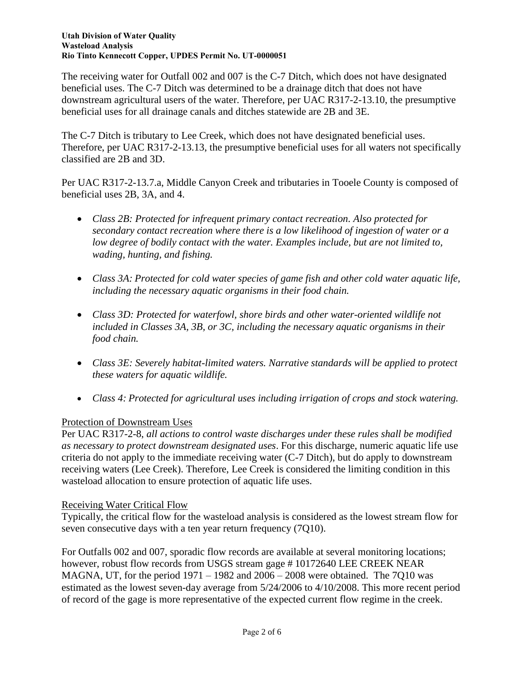The receiving water for Outfall 002 and 007 is the C-7 Ditch, which does not have designated beneficial uses. The C-7 Ditch was determined to be a drainage ditch that does not have downstream agricultural users of the water. Therefore, per UAC R317-2-13.10, the presumptive beneficial uses for all drainage canals and ditches statewide are 2B and 3E.

The C-7 Ditch is tributary to Lee Creek, which does not have designated beneficial uses. Therefore, per UAC R317-2-13.13, the presumptive beneficial uses for all waters not specifically classified are 2B and 3D.

Per UAC R317-2-13.7.a, Middle Canyon Creek and tributaries in Tooele County is composed of beneficial uses 2B, 3A, and 4.

- *Class 2B: Protected for infrequent primary contact recreation. Also protected for secondary contact recreation where there is a low likelihood of ingestion of water or a low degree of bodily contact with the water. Examples include, but are not limited to, wading, hunting, and fishing.*
- *Class 3A: Protected for cold water species of game fish and other cold water aquatic life, including the necessary aquatic organisms in their food chain.*
- *Class 3D: Protected for waterfowl, shore birds and other water-oriented wildlife not included in Classes 3A, 3B, or 3C, including the necessary aquatic organisms in their food chain.*
- *Class 3E: Severely habitat-limited waters. Narrative standards will be applied to protect these waters for aquatic wildlife.*
- *Class 4: Protected for agricultural uses including irrigation of crops and stock watering.*

## Protection of Downstream Uses

Per UAC R317-2-8, *all actions to control waste discharges under these rules shall be modified as necessary to protect downstream designated uses*. For this discharge, numeric aquatic life use criteria do not apply to the immediate receiving water (C-7 Ditch), but do apply to downstream receiving waters (Lee Creek). Therefore, Lee Creek is considered the limiting condition in this wasteload allocation to ensure protection of aquatic life uses.

### Receiving Water Critical Flow

Typically, the critical flow for the wasteload analysis is considered as the lowest stream flow for seven consecutive days with a ten year return frequency (7Q10).

For Outfalls 002 and 007, sporadic flow records are available at several monitoring locations; however, robust flow records from USGS stream gage #10172640 LEE CREEK NEAR MAGNA, UT, for the period  $1971 - 1982$  and  $2006 - 2008$  were obtained. The 7Q10 was estimated as the lowest seven-day average from 5/24/2006 to 4/10/2008. This more recent period of record of the gage is more representative of the expected current flow regime in the creek.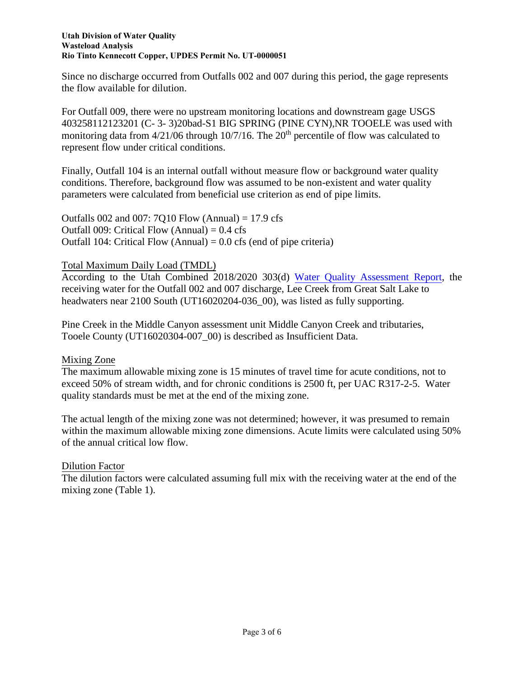Since no discharge occurred from Outfalls 002 and 007 during this period, the gage represents the flow available for dilution.

For Outfall 009, there were no upstream monitoring locations and downstream gage USGS 403258112123201 (C- 3- 3)20bad-S1 BIG SPRING (PINE CYN),NR TOOELE was used with monitoring data from  $4/21/06$  through 10/7/16. The 20<sup>th</sup> percentile of flow was calculated to represent flow under critical conditions.

Finally, Outfall 104 is an internal outfall without measure flow or background water quality conditions. Therefore, background flow was assumed to be non-existent and water quality parameters were calculated from beneficial use criterion as end of pipe limits.

Outfalls 002 and 007: 7Q10 Flow (Annual) = 17.9 cfs Outfall 009: Critical Flow (Annual)  $= 0.4$  cfs Outfall 104: Critical Flow (Annual)  $= 0.0$  cfs (end of pipe criteria)

## Total Maximum Daily Load (TMDL)

According to the Utah Combined 2018/2020 303(d) [Water Quality Assessment Report,](https://documents.deq.utah.gov/water-quality/monitoring-reporting/integrated-report/DWQ-2021-002686.pdf) the receiving water for the Outfall 002 and 007 discharge, Lee Creek from Great Salt Lake to headwaters near 2100 South (UT16020204-036\_00), was listed as fully supporting.

Pine Creek in the Middle Canyon assessment unit Middle Canyon Creek and tributaries, Tooele County (UT16020304-007\_00) is described as Insufficient Data.

### Mixing Zone

The maximum allowable mixing zone is 15 minutes of travel time for acute conditions, not to exceed 50% of stream width, and for chronic conditions is 2500 ft, per UAC R317-2-5. Water quality standards must be met at the end of the mixing zone.

The actual length of the mixing zone was not determined; however, it was presumed to remain within the maximum allowable mixing zone dimensions. Acute limits were calculated using 50% of the annual critical low flow.

## Dilution Factor

The dilution factors were calculated assuming full mix with the receiving water at the end of the mixing zone (Table 1).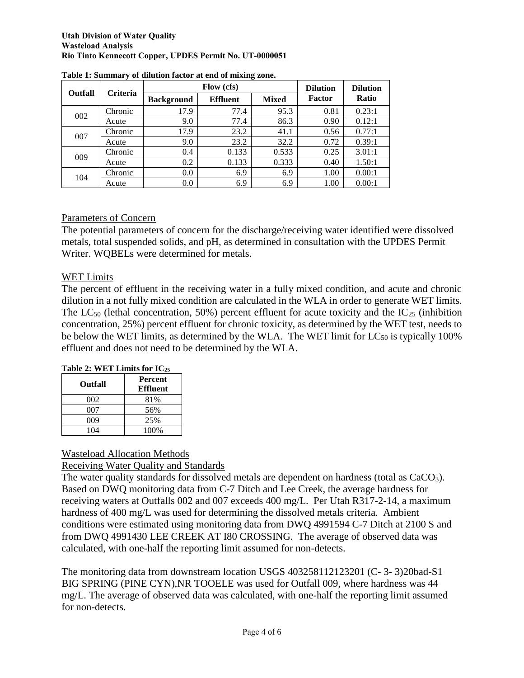#### **Utah Division of Water Quality Wasteload Analysis Rio Tinto Kennecott Copper, UPDES Permit No. UT-0000051**

| <b>Outfall</b> | <b>Criteria</b> |                   | Flow (cfs)      | <b>Dilution</b> | <b>Dilution</b> |              |  |
|----------------|-----------------|-------------------|-----------------|-----------------|-----------------|--------------|--|
|                |                 | <b>Background</b> | <b>Effluent</b> | <b>Mixed</b>    | Factor          | <b>Ratio</b> |  |
|                | Chronic         | 17.9              | 77.4            | 95.3            | 0.81            | 0.23:1       |  |
| 002            | Acute           | 9.0               | 77.4            | 86.3            | 0.90            | 0.12:1       |  |
| 007            | Chronic         | 17.9              | 23.2            | 41.1            | 0.56            | 0.77:1       |  |
|                | Acute           | 9.0               | 23.2            | 32.2            | 0.72            | 0.39:1       |  |
|                | Chronic         | 0.4               | 0.133           | 0.533           | 0.25            | 3.01:1       |  |
| 009            | Acute           | 0.2               | 0.133           | 0.333           | 0.40            | 1.50:1       |  |
| 104            | Chronic         | 0.0               | 6.9             | 6.9             | 1.00            | 0.00:1       |  |
|                | Acute           | 0.0               | 6.9             | 6.9             | 1.00            | 0.00:1       |  |

#### **Table 1: Summary of dilution factor at end of mixing zone.**

### Parameters of Concern

The potential parameters of concern for the discharge/receiving water identified were dissolved metals, total suspended solids, and pH, as determined in consultation with the UPDES Permit Writer. WQBELs were determined for metals.

### WET Limits

The percent of effluent in the receiving water in a fully mixed condition, and acute and chronic dilution in a not fully mixed condition are calculated in the WLA in order to generate WET limits. The LC<sub>50</sub> (lethal concentration, 50%) percent effluent for acute toxicity and the  $IC_{25}$  (inhibition concentration, 25%) percent effluent for chronic toxicity, as determined by the WET test, needs to be below the WET limits, as determined by the WLA. The WET limit for  $LC_{50}$  is typically 100% effluent and does not need to be determined by the WLA.

| Table 2: WET Limits for $IC_{25}$ |  |  |
|-----------------------------------|--|--|
|                                   |  |  |

| Outfall | Percent<br><b>Effluent</b> |
|---------|----------------------------|
| 002     | 81%                        |
| 007     | 56%                        |
| 009     | 25%                        |
| 104     | 100%                       |

### Wasteload Allocation Methods

### Receiving Water Quality and Standards

The water quality standards for dissolved metals are dependent on hardness (total as  $CaCO<sub>3</sub>$ ). Based on DWQ monitoring data from C-7 Ditch and Lee Creek, the average hardness for receiving waters at Outfalls 002 and 007 exceeds 400 mg/L. Per Utah R317-2-14, a maximum hardness of 400 mg/L was used for determining the dissolved metals criteria. Ambient conditions were estimated using monitoring data from DWQ 4991594 C-7 Ditch at 2100 S and from DWQ 4991430 LEE CREEK AT I80 CROSSING. The average of observed data was calculated, with one-half the reporting limit assumed for non-detects.

The monitoring data from downstream location USGS 403258112123201 (C- 3- 3)20bad-S1 BIG SPRING (PINE CYN),NR TOOELE was used for Outfall 009, where hardness was 44 mg/L. The average of observed data was calculated, with one-half the reporting limit assumed for non-detects.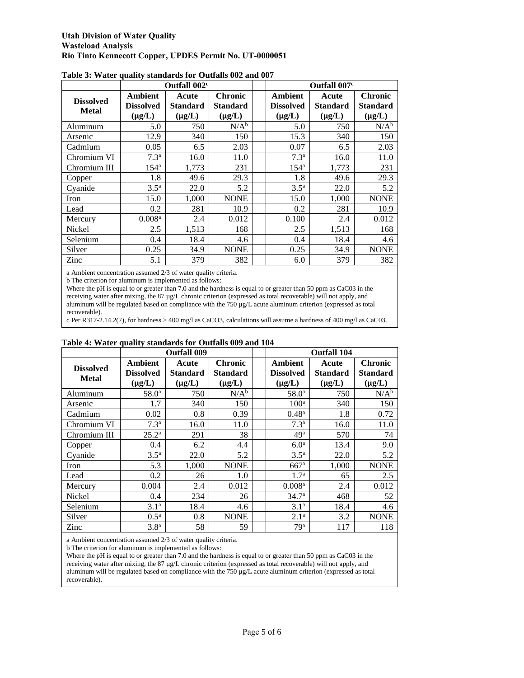|                                  | Outfall 002 <sup>c</sup>            |                                         |                                           |  | Outfall 007 <sup>c</sup>                   |                                         |                                                  |  |
|----------------------------------|-------------------------------------|-----------------------------------------|-------------------------------------------|--|--------------------------------------------|-----------------------------------------|--------------------------------------------------|--|
| <b>Dissolved</b><br><b>Metal</b> | Ambient<br>Dissolved<br>$(\mu g/L)$ | Acute<br><b>Standard</b><br>$(\mu g/L)$ | Chronic<br><b>Standard</b><br>$(\mu g/L)$ |  | Ambient<br><b>Dissolved</b><br>$(\mu g/L)$ | Acute<br><b>Standard</b><br>$(\mu g/L)$ | <b>Chronic</b><br><b>Standard</b><br>$(\mu g/L)$ |  |
| Aluminum                         | 5.0                                 | 750                                     | $N/A^b$                                   |  | 5.0                                        | 750                                     | $N/A^b$                                          |  |
| Arsenic                          | 12.9                                | 340                                     | 150                                       |  | 15.3                                       | 340                                     | 150                                              |  |
| Cadmium                          | 0.05                                | 6.5                                     | 2.03                                      |  | 0.07                                       | 6.5                                     | 2.03                                             |  |
| Chromium VI                      | 7.3 <sup>a</sup>                    | 16.0                                    | 11.0                                      |  | 7.3 <sup>a</sup>                           | 16.0                                    | 11.0                                             |  |
| Chromium III                     | 154 <sup>a</sup>                    | 1,773                                   | 231                                       |  | 154 <sup>a</sup>                           | 1,773                                   | 231                                              |  |
| Copper                           | 1.8                                 | 49.6                                    | 29.3                                      |  | 1.8                                        | 49.6                                    | 29.3                                             |  |
| Cyanide                          | $3.5^{\mathrm{a}}$                  | 22.0                                    | 5.2                                       |  | 3.5 <sup>a</sup>                           | 22.0                                    | 5.2                                              |  |
| Iron                             | 15.0                                | 1,000                                   | <b>NONE</b>                               |  | 15.0                                       | 1,000                                   | <b>NONE</b>                                      |  |
| Lead                             | 0.2                                 | 281                                     | 10.9                                      |  | 0.2                                        | 281                                     | 10.9                                             |  |
| Mercury                          | 0.008 <sup>a</sup>                  | 2.4                                     | 0.012                                     |  | 0.100                                      | 2.4                                     | 0.012                                            |  |
| Nickel                           | 2.5                                 | 1,513                                   | 168                                       |  | 2.5                                        | 1,513                                   | 168                                              |  |
| Selenium                         | 0.4                                 | 18.4                                    | 4.6                                       |  | 0.4                                        | 18.4                                    | 4.6                                              |  |
| Silver                           | 0.25                                | 34.9                                    | <b>NONE</b>                               |  | 0.25                                       | 34.9                                    | <b>NONE</b>                                      |  |
| Zinc                             | 5.1                                 | 379                                     | 382                                       |  | 6.0                                        | 379                                     | 382                                              |  |

**Table 3: Water quality standards for Outfalls 002 and 007** 

a Ambient concentration assumed 2/3 of water quality criteria.

b The criterion for aluminum is implemented as follows:

Where the pH is equal to or greater than 7.0 and the hardness is equal to or greater than 50 ppm as CaC03 in the receiving water after mixing, the 87 µg/L chronic criterion (expressed as total recoverable) will not apply, and aluminum will be regulated based on compliance with the  $750 \mu g/L$  acute aluminum criterion (expressed as total recoverable).

c Per R317-2.14.2(7), for hardness > 400 mg/l as CaCO3, calculations will assume a hardness of 400 mg/l as CaC03.

|                                  |                                            | <b>Outfall 009</b>                      |                                                  |  |                                            | <b>Outfall 104</b>                      |                                                  |  |  |
|----------------------------------|--------------------------------------------|-----------------------------------------|--------------------------------------------------|--|--------------------------------------------|-----------------------------------------|--------------------------------------------------|--|--|
| <b>Dissolved</b><br><b>Metal</b> | Ambient<br><b>Dissolved</b><br>$(\mu g/L)$ | Acute<br><b>Standard</b><br>$(\mu g/L)$ | <b>Chronic</b><br><b>Standard</b><br>$(\mu g/L)$ |  | Ambient<br><b>Dissolved</b><br>$(\mu g/L)$ | Acute<br><b>Standard</b><br>$(\mu g/L)$ | <b>Chronic</b><br><b>Standard</b><br>$(\mu g/L)$ |  |  |
| Aluminum                         | 58.0 <sup>a</sup>                          | 750                                     | $N/A^b$                                          |  | $58.0^{\circ}$                             | 750                                     | $N/A^b$                                          |  |  |
| Arsenic                          | 1.7                                        | 340                                     | 150                                              |  | 100 <sup>a</sup>                           | 340                                     | 150                                              |  |  |
| Cadmium                          | 0.02                                       | 0.8                                     | 0.39                                             |  | $0.48^{\rm a}$                             | 1.8                                     | 0.72                                             |  |  |
| Chromium VI                      | 7.3 <sup>a</sup>                           | 16.0                                    | 11.0                                             |  | 7.3 <sup>a</sup>                           | 16.0                                    | 11.0                                             |  |  |
| Chromium III                     | $25.2^{\rm a}$                             | 291                                     | 38                                               |  | 49 <sup>a</sup>                            | 570                                     | 74                                               |  |  |
| Copper                           | 0.4                                        | 6.2                                     | 4.4                                              |  | 6.0 <sup>a</sup>                           | 13.4                                    | 9.0                                              |  |  |
| Cyanide                          | 3.5 <sup>a</sup>                           | 22.0                                    | 5.2                                              |  | $3.5^{\circ}$                              | 22.0                                    | 5.2                                              |  |  |
| Iron                             | 5.3                                        | 1,000                                   | <b>NONE</b>                                      |  | $667$ <sup>a</sup>                         | 1,000                                   | <b>NONE</b>                                      |  |  |
| Lead                             | 0.2                                        | 26                                      | 1.0                                              |  | 1.7 <sup>a</sup>                           | 65                                      | 2.5                                              |  |  |
| Mercury                          | 0.004                                      | 2.4                                     | 0.012                                            |  | 0.008 <sup>a</sup>                         | 2.4                                     | 0.012                                            |  |  |
| Nickel                           | 0.4                                        | 234                                     | 26                                               |  | 34.7 <sup>a</sup>                          | 468                                     | 52                                               |  |  |
| Selenium                         | 3.1 <sup>a</sup>                           | 18.4                                    | 4.6                                              |  | 3.1 <sup>a</sup>                           | 18.4                                    | 4.6                                              |  |  |
| Silver                           | $0.5^{\mathrm{a}}$                         | 0.8                                     | <b>NONE</b>                                      |  | 2.1 <sup>a</sup>                           | 3.2                                     | <b>NONE</b>                                      |  |  |
| Zinc                             | 3.8 <sup>a</sup>                           | 58                                      | 59                                               |  | 79 <sup>a</sup>                            | 117                                     | 118                                              |  |  |

#### **Table 4: Water quality standards for Outfalls 009 and 104**

a Ambient concentration assumed 2/3 of water quality criteria.

b The criterion for aluminum is implemented as follows:

Where the pH is equal to or greater than 7.0 and the hardness is equal to or greater than 50 ppm as CaC03 in the receiving water after mixing, the 87 µg/L chronic criterion (expressed as total recoverable) will not apply, and aluminum will be regulated based on compliance with the 750 µg/L acute aluminum criterion (expressed as total recoverable).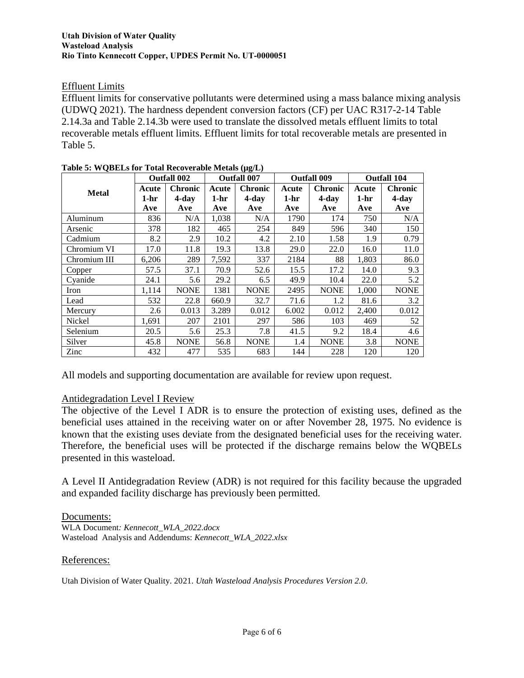### Effluent Limits

Effluent limits for conservative pollutants were determined using a mass balance mixing analysis (UDWQ 2021). The hardness dependent conversion factors (CF) per UAC R317-2-14 Table 2.14.3a and Table 2.14.3b were used to translate the dissolved metals effluent limits to total recoverable metals effluent limits. Effluent limits for total recoverable metals are presented in Table 5.

|              | <b>Outfall 002</b> |                | <b>Outfall 007</b> |                | <b>Outfall 009</b> |                | <b>Outfall 104</b> |                |
|--------------|--------------------|----------------|--------------------|----------------|--------------------|----------------|--------------------|----------------|
| <b>Metal</b> | Acute              | <b>Chronic</b> | Acute              | <b>Chronic</b> | Acute              | <b>Chronic</b> | Acute              | <b>Chronic</b> |
|              | 1-hr               | $4$ -day       | $1-hr$             | $4$ -day       | 1-hr               | $4$ -day       | $1-hr$             | $4$ -day       |
|              | Ave                | Ave            | Ave                | Ave            | Ave                | Ave            | Ave                | Ave            |
| Aluminum     | 836                | N/A            | 1,038              | N/A            | 1790               | 174            | 750                | N/A            |
| Arsenic      | 378                | 182            | 465                | 254            | 849                | 596            | 340                | 150            |
| Cadmium      | 8.2                | 2.9            | 10.2               | 4.2            | 2.10               | 1.58           | 1.9                | 0.79           |
| Chromium VI  | 17.0               | 11.8           | 19.3               | 13.8           | 29.0               | 22.0           | 16.0               | 11.0           |
| Chromium III | 6,206              | 289            | 7,592              | 337            | 2184               | 88             | 1,803              | 86.0           |
| Copper       | 57.5               | 37.1           | 70.9               | 52.6           | 15.5               | 17.2           | 14.0               | 9.3            |
| Cyanide      | 24.1               | 5.6            | 29.2               | 6.5            | 49.9               | 10.4           | 22.0               | 5.2            |
| Iron         | 1,114              | <b>NONE</b>    | 1381               | <b>NONE</b>    | 2495               | <b>NONE</b>    | 1,000              | <b>NONE</b>    |
| Lead         | 532                | 22.8           | 660.9              | 32.7           | 71.6               | 1.2            | 81.6               | 3.2            |
| Mercury      | 2.6                | 0.013          | 3.289              | 0.012          | 6.002              | 0.012          | 2,400              | 0.012          |
| Nickel       | 1,691              | 207            | 2101               | 297            | 586                | 103            | 469                | 52             |
| Selenium     | 20.5               | 5.6            | 25.3               | 7.8            | 41.5               | 9.2            | 18.4               | 4.6            |
| Silver       | 45.8               | <b>NONE</b>    | 56.8               | <b>NONE</b>    | 1.4                | <b>NONE</b>    | 3.8                | <b>NONE</b>    |
| Zinc         | 432                | 477            | 535                | 683            | 144                | 228            | 120                | 120            |

| Table 5: WQBELs for Total Recoverable Metals (µg/L) |  |  |
|-----------------------------------------------------|--|--|
|                                                     |  |  |

All models and supporting documentation are available for review upon request.

### Antidegradation Level I Review

The objective of the Level I ADR is to ensure the protection of existing uses, defined as the beneficial uses attained in the receiving water on or after November 28, 1975. No evidence is known that the existing uses deviate from the designated beneficial uses for the receiving water. Therefore, the beneficial uses will be protected if the discharge remains below the WQBELs presented in this wasteload.

A Level II Antidegradation Review (ADR) is not required for this facility because the upgraded and expanded facility discharge has previously been permitted.

#### Documents:

WLA Document*: Kennecott\_WLA\_2022.docx* Wasteload Analysis and Addendums: *Kennecott\_WLA\_2022.xlsx*

#### References:

Utah Division of Water Quality. 2021. *Utah Wasteload Analysis Procedures Version 2.0*.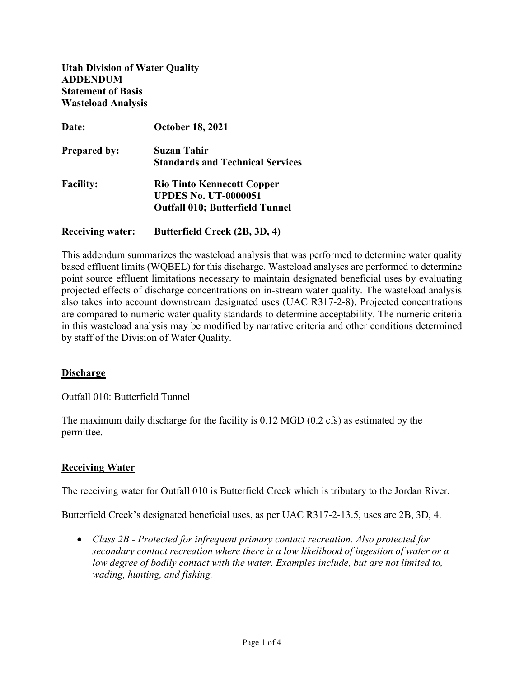**Utah Division of Water Quality ADDENDUM Statement of Basis Wasteload Analysis** 

| Date:                   | <b>October 18, 2021</b>                 |
|-------------------------|-----------------------------------------|
| <b>Prepared by:</b>     | Suzan Tahir                             |
|                         | <b>Standards and Technical Services</b> |
| <b>Facility:</b>        | <b>Rio Tinto Kennecott Copper</b>       |
|                         | <b>UPDES No. UT-0000051</b>             |
|                         | <b>Outfall 010; Butterfield Tunnel</b>  |
| <b>Receiving water:</b> | Butterfield Creek (2B, 3D, 4)           |

This addendum summarizes the wasteload analysis that was performed to determine water quality based effluent limits (WQBEL) for this discharge. Wasteload analyses are performed to determine point source effluent limitations necessary to maintain designated beneficial uses by evaluating projected effects of discharge concentrations on in-stream water quality. The wasteload analysis also takes into account downstream designated uses (UAC R317-2-8). Projected concentrations are compared to numeric water quality standards to determine acceptability. The numeric criteria in this wasteload analysis may be modified by narrative criteria and other conditions determined by staff of the Division of Water Quality.

### **Discharge**

Outfall 010: Butterfield Tunnel

The maximum daily discharge for the facility is 0.12 MGD (0.2 cfs) as estimated by the permittee.

### **Receiving Water**

The receiving water for Outfall 010 is Butterfield Creek which is tributary to the Jordan River.

Butterfield Creek's designated beneficial uses, as per UAC R317-2-13.5, uses are 2B, 3D, 4.

• *Class 2B - Protected for infrequent primary contact recreation. Also protected for secondary contact recreation where there is a low likelihood of ingestion of water or a low degree of bodily contact with the water. Examples include, but are not limited to, wading, hunting, and fishing.*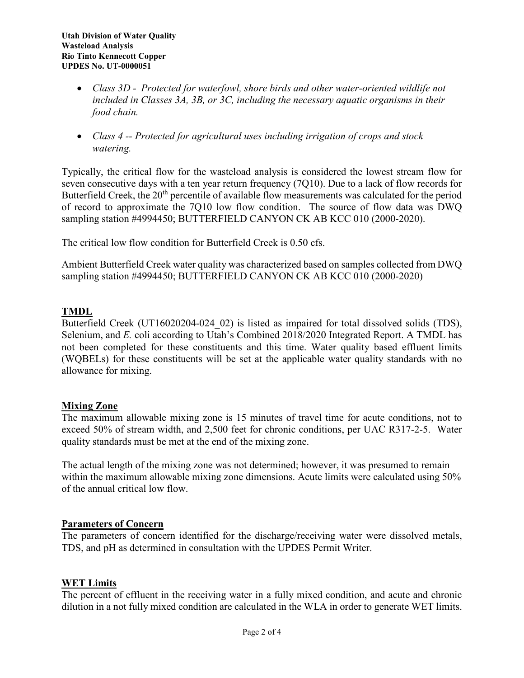- *Class 3D - Protected for waterfowl, shore birds and other water-oriented wildlife not included in Classes 3A, 3B, or 3C, including the necessary aquatic organisms in their food chain.*
- *Class 4 -- Protected for agricultural uses including irrigation of crops and stock watering.*

Typically, the critical flow for the wasteload analysis is considered the lowest stream flow for seven consecutive days with a ten year return frequency (7Q10). Due to a lack of flow records for Butterfield Creek, the 20<sup>th</sup> percentile of available flow measurements was calculated for the period of record to approximate the 7Q10 low flow condition. The source of flow data was DWQ sampling station #4994450; BUTTERFIELD CANYON CK AB KCC 010 (2000-2020).

The critical low flow condition for Butterfield Creek is 0.50 cfs.

Ambient Butterfield Creek water quality was characterized based on samples collected from DWQ sampling station #4994450; BUTTERFIELD CANYON CK AB KCC 010 (2000-2020)

## **TMDL**

Butterfield Creek (UT16020204-024 02) is listed as impaired for total dissolved solids (TDS), Selenium, and *E.* coli according to Utah's Combined 2018/2020 Integrated Report. A TMDL has not been completed for these constituents and this time. Water quality based effluent limits (WQBELs) for these constituents will be set at the applicable water quality standards with no allowance for mixing.

### **Mixing Zone**

The maximum allowable mixing zone is 15 minutes of travel time for acute conditions, not to exceed 50% of stream width, and 2,500 feet for chronic conditions, per UAC R317-2-5. Water quality standards must be met at the end of the mixing zone.

The actual length of the mixing zone was not determined; however, it was presumed to remain within the maximum allowable mixing zone dimensions. Acute limits were calculated using 50% of the annual critical low flow.

### **Parameters of Concern**

The parameters of concern identified for the discharge/receiving water were dissolved metals, TDS, and pH as determined in consultation with the UPDES Permit Writer.

### **WET Limits**

The percent of effluent in the receiving water in a fully mixed condition, and acute and chronic dilution in a not fully mixed condition are calculated in the WLA in order to generate WET limits.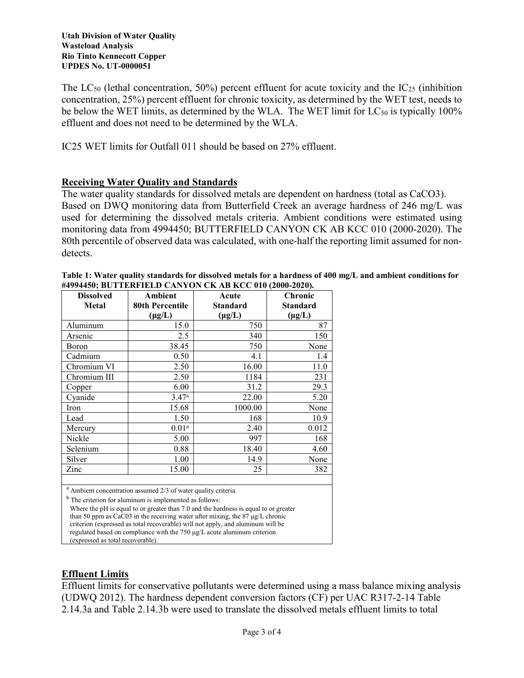The  $LC_{50}$  (lethal concentration, 50%) percent effluent for acute toxicity and the  $IC_{25}$  (inhibition concentration, 25%) percent effluent for chronic toxicity, as determined by the WET test, needs to be below the WET limits, as determined by the WLA. The WET limit for  $LC_{50}$  is typically 100% effluent and does not need to be determined by the WLA.

IC25 WET limits for Outfall 011 should be based on 27% effluent.

## **Receiving Water Quality and Standards**

The water quality standards for dissolved metals are dependent on hardness (total as CaCO3). Based on DWQ monitoring data from Butterfield Creek an average hardness of 246 mg/L was used for determining the dissolved metals criteria. Ambient conditions were estimated using monitoring data from 4994450; BUTTERFIELD CANYON CK AB KCC 010 (2000-2020). The 80th percentile of observed data was calculated, with one-half the reporting limit assumed for nondetects.

| <b>Dissolved</b><br>Metal | Ambient<br>80th Percentile | Acute<br><b>Standard</b> | Chronic<br>Standard |
|---------------------------|----------------------------|--------------------------|---------------------|
|                           | $(\mu g/L)$                | $(\mu g/L)$              | $(\mu g/L)$         |
| Aluminum                  | 15.0                       | 750                      | 87                  |
| Arsenic                   | 2.5                        | 340                      | 150                 |
| Boron                     | 38.45                      | 750                      | None                |
| Cadmium                   | 0.50                       | 4.1                      | 1.4                 |
| Chromium VI               | 2.50                       | 16.00                    | 11.0                |
| Chromium III              | 2.50                       | 1184                     | 231                 |
| Copper                    | 6.00                       | 31.2                     | 29.3                |
| Cyanide                   | $3.47^{\rm a}$             | 22.00                    | 5.20                |
| Iron                      | 15.68                      | 1000.00                  | None                |
| Lead                      | 1.50                       | 168                      | 10.9                |
| Mercury                   | 0.01 <sup>a</sup>          | 2.40                     | 0.012               |
| Nickle                    | 5.00                       | 997                      | 168                 |
| Selenium                  | 0.88                       | 18.40                    | 4.60                |
| Silver                    | 1.00                       | 14.9                     | None                |
| Zinc                      | 15.00                      | 25                       | 382                 |
| $\sim$                    |                            |                          |                     |

| Table 1: Water quality standards for dissolved metals for a hardness of 400 mg/L and ambient conditions for |
|-------------------------------------------------------------------------------------------------------------|
| #4994450; BUTTERFIELD CANYON CK AB KCC 010 (2000-2020).                                                     |

<sup>a</sup> Ambient concentration assumed 2/3 of water quality criteria.

 $<sup>b</sup>$  The criterion for aluminum is implemented as follows:</sup>

 Where the pH is equal to or greater than 7.0 and the hardness is equal to or greater than 50 ppm as CaC03 in the receiving water after mixing, the 87 μg/L chronic criterion (expressed as total recoverable) will not apply, and aluminum will be regulated based on compliance with the 750 μg/L acute aluminum criterion (expressed as total recoverable).

## **Effluent Limits**

Effluent limits for conservative pollutants were determined using a mass balance mixing analysis (UDWQ 2012). The hardness dependent conversion factors (CF) per UAC R317-2-14 Table 2.14.3a and Table 2.14.3b were used to translate the dissolved metals effluent limits to total